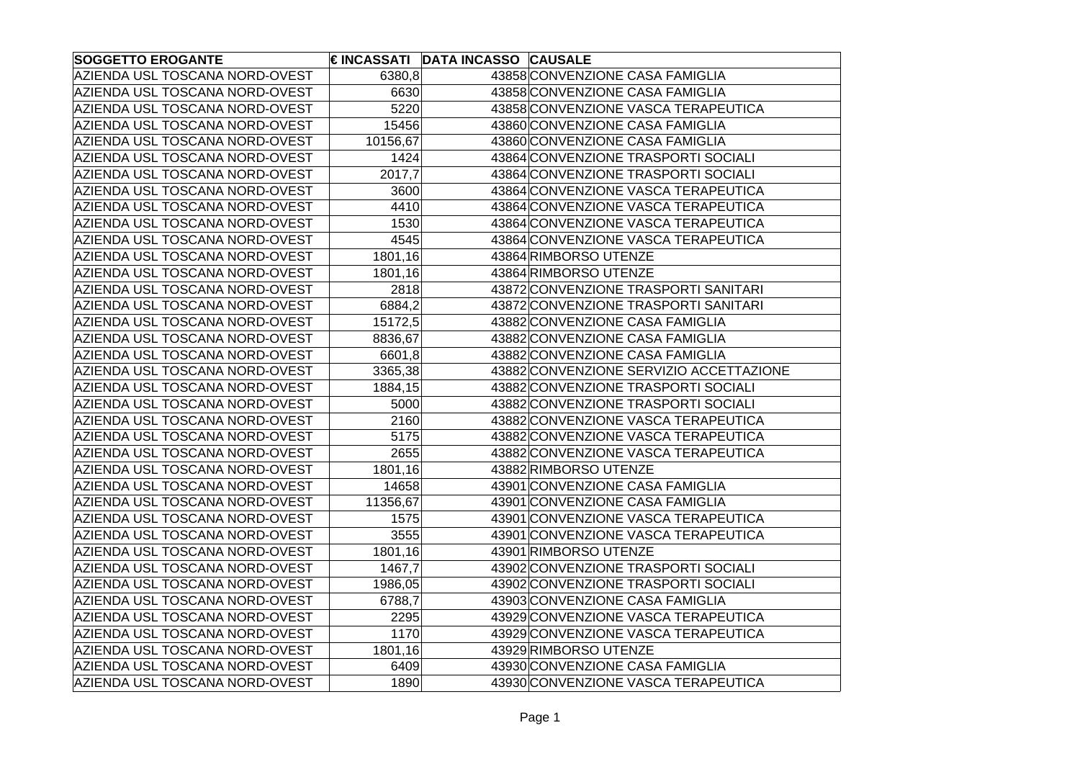| <b>SOGGETTO EROGANTE</b>       |          | € INCASSATI DATA INCASSO CAUSALE |                                         |
|--------------------------------|----------|----------------------------------|-----------------------------------------|
| AZIENDA USL TOSCANA NORD-OVEST | 6380,8   |                                  | 43858 CONVENZIONE CASA FAMIGLIA         |
| AZIENDA USL TOSCANA NORD-OVEST | 6630     |                                  | 43858 CONVENZIONE CASA FAMIGLIA         |
| AZIENDA USL TOSCANA NORD-OVEST | 5220     |                                  | 43858 CONVENZIONE VASCA TERAPEUTICA     |
| AZIENDA USL TOSCANA NORD-OVEST | 15456    |                                  | 43860 CONVENZIONE CASA FAMIGLIA         |
| AZIENDA USL TOSCANA NORD-OVEST | 10156,67 |                                  | 43860 CONVENZIONE CASA FAMIGLIA         |
| AZIENDA USL TOSCANA NORD-OVEST | 1424     |                                  | 43864 CONVENZIONE TRASPORTI SOCIALI     |
| AZIENDA USL TOSCANA NORD-OVEST | 2017,7   |                                  | 43864 CONVENZIONE TRASPORTI SOCIALI     |
| AZIENDA USL TOSCANA NORD-OVEST | 3600     |                                  | 43864 CONVENZIONE VASCA TERAPEUTICA     |
| AZIENDA USL TOSCANA NORD-OVEST | 4410     |                                  | 43864 CONVENZIONE VASCA TERAPEUTICA     |
| AZIENDA USL TOSCANA NORD-OVEST | 1530     |                                  | 43864 CONVENZIONE VASCA TERAPEUTICA     |
| AZIENDA USL TOSCANA NORD-OVEST | 4545     |                                  | 43864 CONVENZIONE VASCA TERAPEUTICA     |
| AZIENDA USL TOSCANA NORD-OVEST | 1801,16  |                                  | 43864 RIMBORSO UTENZE                   |
| AZIENDA USL TOSCANA NORD-OVEST | 1801,16  |                                  | 43864 RIMBORSO UTENZE                   |
| AZIENDA USL TOSCANA NORD-OVEST | 2818     |                                  | 43872 CONVENZIONE TRASPORTI SANITARI    |
| AZIENDA USL TOSCANA NORD-OVEST | 6884,2   |                                  | 43872 CONVENZIONE TRASPORTI SANITARI    |
| AZIENDA USL TOSCANA NORD-OVEST | 15172,5  |                                  | 43882 CONVENZIONE CASA FAMIGLIA         |
| AZIENDA USL TOSCANA NORD-OVEST | 8836,67  |                                  | 43882 CONVENZIONE CASA FAMIGLIA         |
| AZIENDA USL TOSCANA NORD-OVEST | 6601,8   |                                  | 43882 CONVENZIONE CASA FAMIGLIA         |
| AZIENDA USL TOSCANA NORD-OVEST | 3365,38  |                                  | 43882 CONVENZIONE SERVIZIO ACCETTAZIONE |
| AZIENDA USL TOSCANA NORD-OVEST | 1884,15  |                                  | 43882 CONVENZIONE TRASPORTI SOCIALI     |
| AZIENDA USL TOSCANA NORD-OVEST | 5000     |                                  | 43882 CONVENZIONE TRASPORTI SOCIALI     |
| AZIENDA USL TOSCANA NORD-OVEST | 2160     |                                  | 43882 CONVENZIONE VASCA TERAPEUTICA     |
| AZIENDA USL TOSCANA NORD-OVEST | 5175     |                                  | 43882 CONVENZIONE VASCA TERAPEUTICA     |
| AZIENDA USL TOSCANA NORD-OVEST | 2655     |                                  | 43882 CONVENZIONE VASCA TERAPEUTICA     |
| AZIENDA USL TOSCANA NORD-OVEST | 1801,16  |                                  | 43882 RIMBORSO UTENZE                   |
| AZIENDA USL TOSCANA NORD-OVEST | 14658    |                                  | 43901 CONVENZIONE CASA FAMIGLIA         |
| AZIENDA USL TOSCANA NORD-OVEST | 11356,67 |                                  | 43901 CONVENZIONE CASA FAMIGLIA         |
| AZIENDA USL TOSCANA NORD-OVEST | 1575     |                                  | 43901 CONVENZIONE VASCA TERAPEUTICA     |
| AZIENDA USL TOSCANA NORD-OVEST | 3555     |                                  | 43901 CONVENZIONE VASCA TERAPEUTICA     |
| AZIENDA USL TOSCANA NORD-OVEST | 1801,16  |                                  | 43901 RIMBORSO UTENZE                   |
| AZIENDA USL TOSCANA NORD-OVEST | 1467,7   |                                  | 43902 CONVENZIONE TRASPORTI SOCIALI     |
| AZIENDA USL TOSCANA NORD-OVEST | 1986,05  |                                  | 43902 CONVENZIONE TRASPORTI SOCIALI     |
| AZIENDA USL TOSCANA NORD-OVEST | 6788,7   |                                  | 43903 CONVENZIONE CASA FAMIGLIA         |
| AZIENDA USL TOSCANA NORD-OVEST | 2295     |                                  | 43929 CONVENZIONE VASCA TERAPEUTICA     |
| AZIENDA USL TOSCANA NORD-OVEST | 1170     |                                  | 43929 CONVENZIONE VASCA TERAPEUTICA     |
| AZIENDA USL TOSCANA NORD-OVEST | 1801,16  |                                  | 43929 RIMBORSO UTENZE                   |
| AZIENDA USL TOSCANA NORD-OVEST | 6409     |                                  | 43930 CONVENZIONE CASA FAMIGLIA         |
| AZIENDA USL TOSCANA NORD-OVEST | 1890     |                                  | 43930 CONVENZIONE VASCA TERAPEUTICA     |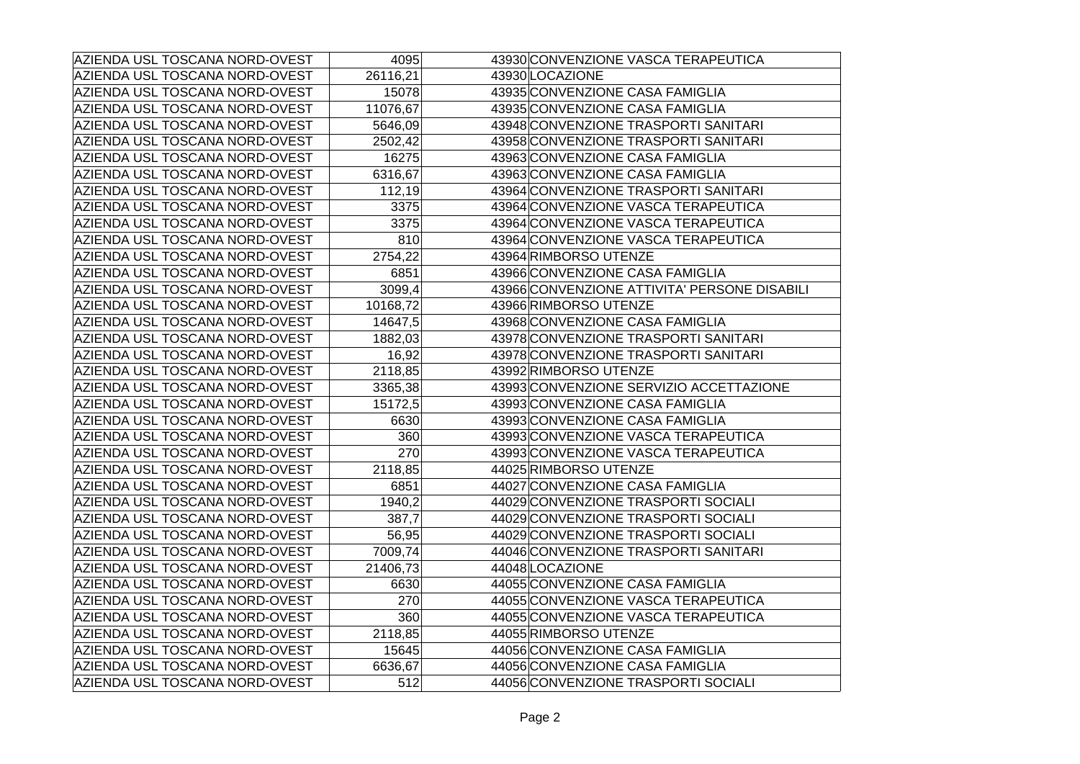| AZIENDA USL TOSCANA NORD-OVEST | 4095     | 43930 CONVENZIONE VASCA TERAPEUTICA          |
|--------------------------------|----------|----------------------------------------------|
| AZIENDA USL TOSCANA NORD-OVEST | 26116,21 | 43930 LOCAZIONE                              |
| AZIENDA USL TOSCANA NORD-OVEST | 15078    | 43935 CONVENZIONE CASA FAMIGLIA              |
| AZIENDA USL TOSCANA NORD-OVEST | 11076,67 | 43935 CONVENZIONE CASA FAMIGLIA              |
| AZIENDA USL TOSCANA NORD-OVEST | 5646,09  | 43948 CONVENZIONE TRASPORTI SANITARI         |
| AZIENDA USL TOSCANA NORD-OVEST | 2502,42  | 43958 CONVENZIONE TRASPORTI SANITARI         |
| AZIENDA USL TOSCANA NORD-OVEST | 16275    | 43963 CONVENZIONE CASA FAMIGLIA              |
| AZIENDA USL TOSCANA NORD-OVEST | 6316,67  | 43963 CONVENZIONE CASA FAMIGLIA              |
| AZIENDA USL TOSCANA NORD-OVEST | 112,19   | 43964 CONVENZIONE TRASPORTI SANITARI         |
| AZIENDA USL TOSCANA NORD-OVEST | 3375     | 43964 CONVENZIONE VASCA TERAPEUTICA          |
| AZIENDA USL TOSCANA NORD-OVEST | 3375     | 43964 CONVENZIONE VASCA TERAPEUTICA          |
| AZIENDA USL TOSCANA NORD-OVEST | 810      | 43964 CONVENZIONE VASCA TERAPEUTICA          |
| AZIENDA USL TOSCANA NORD-OVEST | 2754,22  | 43964 RIMBORSO UTENZE                        |
| AZIENDA USL TOSCANA NORD-OVEST | 6851     | 43966 CONVENZIONE CASA FAMIGLIA              |
| AZIENDA USL TOSCANA NORD-OVEST | 3099,4   | 43966 CONVENZIONE ATTIVITA' PERSONE DISABILI |
| AZIENDA USL TOSCANA NORD-OVEST | 10168,72 | 43966 RIMBORSO UTENZE                        |
| AZIENDA USL TOSCANA NORD-OVEST | 14647,5  | 43968 CONVENZIONE CASA FAMIGLIA              |
| AZIENDA USL TOSCANA NORD-OVEST | 1882,03  | 43978 CONVENZIONE TRASPORTI SANITARI         |
| AZIENDA USL TOSCANA NORD-OVEST | 16,92    | 43978 CONVENZIONE TRASPORTI SANITARI         |
| AZIENDA USL TOSCANA NORD-OVEST | 2118,85  | 43992 RIMBORSO UTENZE                        |
| AZIENDA USL TOSCANA NORD-OVEST | 3365,38  | 43993 CONVENZIONE SERVIZIO ACCETTAZIONE      |
| AZIENDA USL TOSCANA NORD-OVEST | 15172,5  | 43993 CONVENZIONE CASA FAMIGLIA              |
| AZIENDA USL TOSCANA NORD-OVEST | 6630     | 43993 CONVENZIONE CASA FAMIGLIA              |
| AZIENDA USL TOSCANA NORD-OVEST | 360      | 43993 CONVENZIONE VASCA TERAPEUTICA          |
| AZIENDA USL TOSCANA NORD-OVEST | 270      | 43993 CONVENZIONE VASCA TERAPEUTICA          |
| AZIENDA USL TOSCANA NORD-OVEST | 2118,85  | 44025 RIMBORSO UTENZE                        |
| AZIENDA USL TOSCANA NORD-OVEST | 6851     | 44027 CONVENZIONE CASA FAMIGLIA              |
| AZIENDA USL TOSCANA NORD-OVEST | 1940,2   | 44029 CONVENZIONE TRASPORTI SOCIALI          |
| AZIENDA USL TOSCANA NORD-OVEST | 387,7    | 44029 CONVENZIONE TRASPORTI SOCIALI          |
| AZIENDA USL TOSCANA NORD-OVEST | 56,95    | 44029 CONVENZIONE TRASPORTI SOCIALI          |
| AZIENDA USL TOSCANA NORD-OVEST | 7009,74  | 44046 CONVENZIONE TRASPORTI SANITARI         |
| AZIENDA USL TOSCANA NORD-OVEST | 21406,73 | 44048 LOCAZIONE                              |
| AZIENDA USL TOSCANA NORD-OVEST | 6630     | 44055 CONVENZIONE CASA FAMIGLIA              |
| AZIENDA USL TOSCANA NORD-OVEST | 270      | 44055 CONVENZIONE VASCA TERAPEUTICA          |
| AZIENDA USL TOSCANA NORD-OVEST | 360      | 44055 CONVENZIONE VASCA TERAPEUTICA          |
| AZIENDA USL TOSCANA NORD-OVEST | 2118,85  | 44055 RIMBORSO UTENZE                        |
| AZIENDA USL TOSCANA NORD-OVEST | 15645    | 44056 CONVENZIONE CASA FAMIGLIA              |
| AZIENDA USL TOSCANA NORD-OVEST | 6636,67  | 44056 CONVENZIONE CASA FAMIGLIA              |
| AZIENDA USL TOSCANA NORD-OVEST | 512      | 44056 CONVENZIONE TRASPORTI SOCIALI          |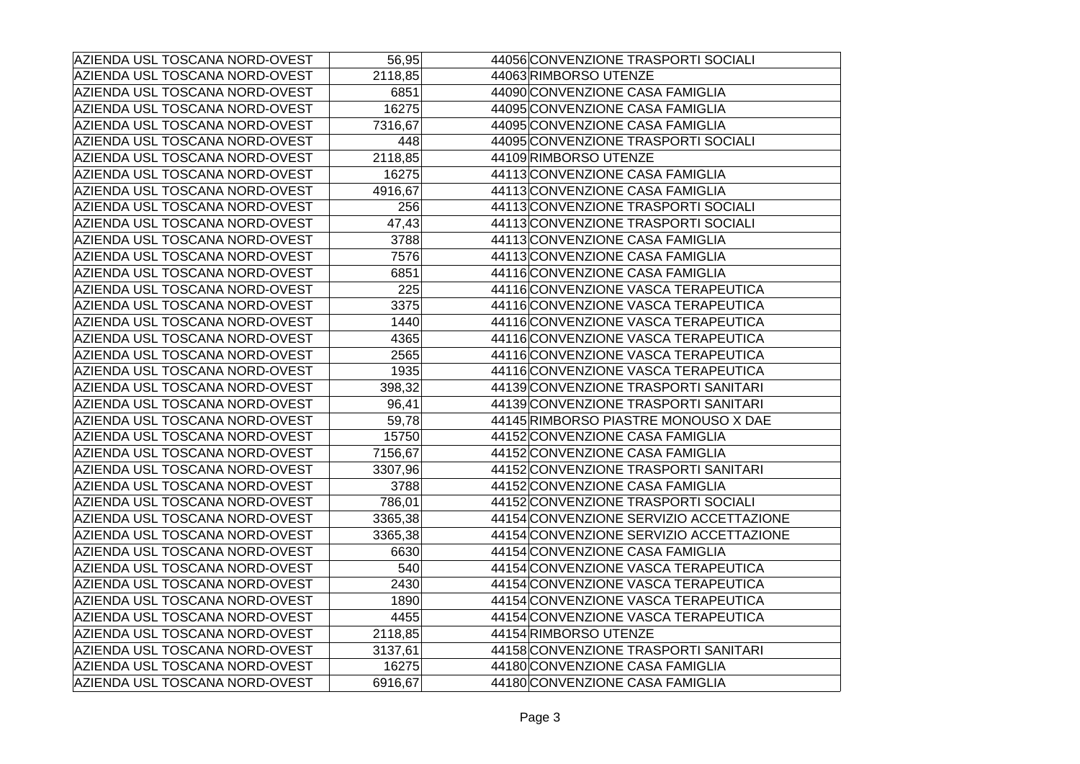| AZIENDA USL TOSCANA NORD-OVEST | 56,95   | 44056 CONVENZIONE TRASPORTI SOCIALI     |
|--------------------------------|---------|-----------------------------------------|
| AZIENDA USL TOSCANA NORD-OVEST | 2118,85 | 44063 RIMBORSO UTENZE                   |
| AZIENDA USL TOSCANA NORD-OVEST | 6851    | 44090 CONVENZIONE CASA FAMIGLIA         |
| AZIENDA USL TOSCANA NORD-OVEST | 16275   | 44095 CONVENZIONE CASA FAMIGLIA         |
| AZIENDA USL TOSCANA NORD-OVEST | 7316,67 | 44095 CONVENZIONE CASA FAMIGLIA         |
| AZIENDA USL TOSCANA NORD-OVEST | 448     | 44095 CONVENZIONE TRASPORTI SOCIALI     |
| AZIENDA USL TOSCANA NORD-OVEST | 2118,85 | 44109 RIMBORSO UTENZE                   |
| AZIENDA USL TOSCANA NORD-OVEST | 16275   | 44113 CONVENZIONE CASA FAMIGLIA         |
| AZIENDA USL TOSCANA NORD-OVEST | 4916,67 | 44113 CONVENZIONE CASA FAMIGLIA         |
| AZIENDA USL TOSCANA NORD-OVEST | 256     | 44113 CONVENZIONE TRASPORTI SOCIALI     |
| AZIENDA USL TOSCANA NORD-OVEST | 47,43   | 44113 CONVENZIONE TRASPORTI SOCIALI     |
| AZIENDA USL TOSCANA NORD-OVEST | 3788    | 44113 CONVENZIONE CASA FAMIGLIA         |
| AZIENDA USL TOSCANA NORD-OVEST | 7576    | 44113 CONVENZIONE CASA FAMIGLIA         |
| AZIENDA USL TOSCANA NORD-OVEST | 6851    | 44116 CONVENZIONE CASA FAMIGLIA         |
| AZIENDA USL TOSCANA NORD-OVEST | 225     | 44116 CONVENZIONE VASCA TERAPEUTICA     |
| AZIENDA USL TOSCANA NORD-OVEST | 3375    | 44116 CONVENZIONE VASCA TERAPEUTICA     |
| AZIENDA USL TOSCANA NORD-OVEST | 1440    | 44116 CONVENZIONE VASCA TERAPEUTICA     |
| AZIENDA USL TOSCANA NORD-OVEST | 4365    | 44116 CONVENZIONE VASCA TERAPEUTICA     |
| AZIENDA USL TOSCANA NORD-OVEST | 2565    | 44116 CONVENZIONE VASCA TERAPEUTICA     |
| AZIENDA USL TOSCANA NORD-OVEST | 1935    | 44116 CONVENZIONE VASCA TERAPEUTICA     |
| AZIENDA USL TOSCANA NORD-OVEST | 398,32  | 44139 CONVENZIONE TRASPORTI SANITARI    |
| AZIENDA USL TOSCANA NORD-OVEST | 96,41   | 44139 CONVENZIONE TRASPORTI SANITARI    |
| AZIENDA USL TOSCANA NORD-OVEST | 59,78   | 44145 RIMBORSO PIASTRE MONOUSO X DAE    |
| AZIENDA USL TOSCANA NORD-OVEST | 15750   | 44152 CONVENZIONE CASA FAMIGLIA         |
| AZIENDA USL TOSCANA NORD-OVEST | 7156,67 | 44152 CONVENZIONE CASA FAMIGLIA         |
| AZIENDA USL TOSCANA NORD-OVEST | 3307,96 | 44152 CONVENZIONE TRASPORTI SANITARI    |
| AZIENDA USL TOSCANA NORD-OVEST | 3788    | 44152 CONVENZIONE CASA FAMIGLIA         |
| AZIENDA USL TOSCANA NORD-OVEST | 786,01  | 44152 CONVENZIONE TRASPORTI SOCIALI     |
| AZIENDA USL TOSCANA NORD-OVEST | 3365,38 | 44154 CONVENZIONE SERVIZIO ACCETTAZIONE |
| AZIENDA USL TOSCANA NORD-OVEST | 3365,38 | 44154 CONVENZIONE SERVIZIO ACCETTAZIONE |
| AZIENDA USL TOSCANA NORD-OVEST | 6630    | 44154 CONVENZIONE CASA FAMIGLIA         |
| AZIENDA USL TOSCANA NORD-OVEST | 540     | 44154 CONVENZIONE VASCA TERAPEUTICA     |
| AZIENDA USL TOSCANA NORD-OVEST | 2430    | 44154 CONVENZIONE VASCA TERAPEUTICA     |
| AZIENDA USL TOSCANA NORD-OVEST | 1890    | 44154 CONVENZIONE VASCA TERAPEUTICA     |
| AZIENDA USL TOSCANA NORD-OVEST | 4455    | 44154 CONVENZIONE VASCA TERAPEUTICA     |
| AZIENDA USL TOSCANA NORD-OVEST | 2118,85 | 44154 RIMBORSO UTENZE                   |
| AZIENDA USL TOSCANA NORD-OVEST | 3137,61 | 44158 CONVENZIONE TRASPORTI SANITARI    |
| AZIENDA USL TOSCANA NORD-OVEST | 16275   | 44180 CONVENZIONE CASA FAMIGLIA         |
| AZIENDA USL TOSCANA NORD-OVEST | 6916,67 | 44180 CONVENZIONE CASA FAMIGLIA         |